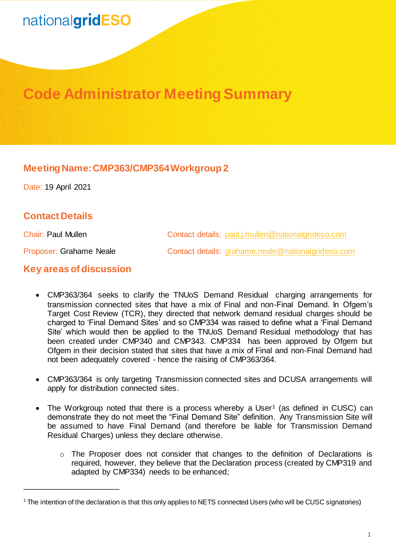# nationalgridESO

## **Code Administrator Meeting Summary**

### **Meeting Name: CMP363/CMP364Workgroup 2**

Date: 19 April 2021

### **Contact Details**

1

Chair: Paul Mullen Contact details: [paul.j.mullen@nationalgrideso.com](mailto:paul.j.mullen@nationalgrideso.com)

Proposer: Grahame Neale **Contact details: [grahame.neale@nationalgrideso.com](mailto:grahame.neale@nationalgrideso.com)** 

#### **Key areas of discussion**

- CMP363/364 seeks to clarify the TNUoS Demand Residual charging arrangements for transmission connected sites that have a mix of Final and non-Final Demand. In Ofgem's Target Cost Review (TCR), they directed that network demand residual charges should be charged to 'Final Demand Sites' and so CMP334 was raised to define what a 'Final Demand Site' which would then be applied to the TNUoS Demand Residual methodology that has been created under CMP340 and CMP343. CMP334 has been approved by Ofgem but Ofgem in their decision stated that sites that have a mix of Final and non-Final Demand had not been adequately covered - hence the raising of CMP363/364.
- CMP363/364 is only targeting Transmission connected sites and DCUSA arrangements will apply for distribution connected sites.
- The Workgroup noted that there is a process whereby a User<sup>1</sup> (as defined in CUSC) can demonstrate they do not meet the "Final Demand Site" definition. Any Transmission Site will be assumed to have Final Demand (and therefore be liable for Transmission Demand Residual Charges) unless they declare otherwise.
	- o The Proposer does not consider that changes to the definition of Declarations is required, however, they believe that the Declaration process (created by CMP319 and adapted by CMP334) needs to be enhanced;

<sup>1</sup> The intention of the declaration is that this only applies to NETS connected Users (who will be CUSC signatories)